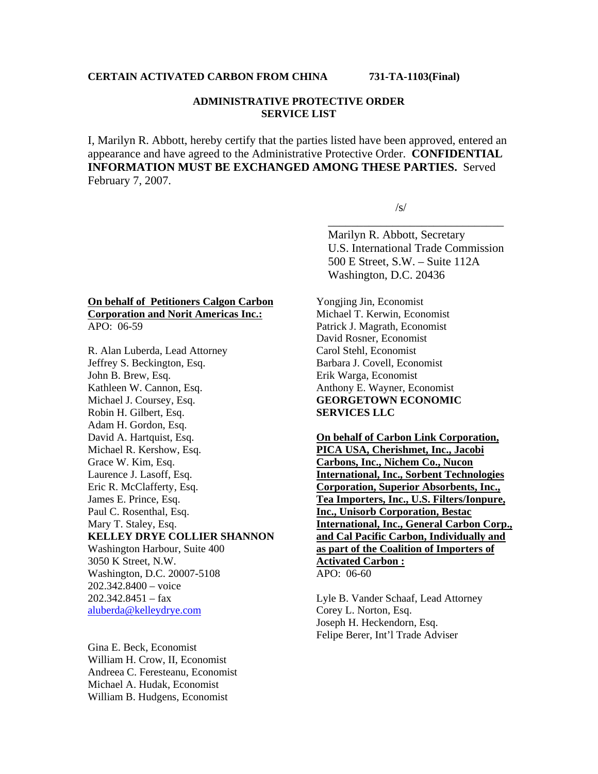## **ADMINISTRATIVE PROTECTIVE ORDER SERVICE LIST**

I, Marilyn R. Abbott, hereby certify that the parties listed have been approved, entered an appearance and have agreed to the Administrative Protective Order. **CONFIDENTIAL INFORMATION MUST BE EXCHANGED AMONG THESE PARTIES.** Served February 7, 2007.

 $\overline{\phantom{a}}$  , which is a set of the contract of the contract of the contract of the contract of the contract of the contract of the contract of the contract of the contract of the contract of the contract of the contract

 $\sqrt{s/2}$ 

 Marilyn R. Abbott, Secretary U.S. International Trade Commission 500 E Street, S.W. – Suite 112A Washington, D.C. 20436

#### **On behalf of Petitioners Calgon Carbon Corporation and Norit Americas Inc.:** APO: 06-59

R. Alan Luberda, Lead Attorney Jeffrey S. Beckington, Esq. John B. Brew, Esq. Kathleen W. Cannon, Esq. Michael J. Coursey, Esq. Robin H. Gilbert, Esq. Adam H. Gordon, Esq. David A. Hartquist, Esq. Michael R. Kershow, Esq. Grace W. Kim, Esq. Laurence J. Lasoff, Esq. Eric R. McClafferty, Esq. James E. Prince, Esq. Paul C. Rosenthal, Esq. Mary T. Staley, Esq. **KELLEY DRYE COLLIER SHANNON**  Washington Harbour, Suite 400 3050 K Street, N.W. Washington, D.C. 20007-5108 202.342.8400 – voice  $202.342.8451 - fax$ aluberda@kelleydrye.com

Gina E. Beck, Economist William H. Crow, II, Economist Andreea C. Feresteanu, Economist Michael A. Hudak, Economist William B. Hudgens, Economist

Yongjing Jin, Economist Michael T. Kerwin, Economist Patrick J. Magrath, Economist David Rosner, Economist Carol Stehl, Economist Barbara J. Covell, Economist Erik Warga, Economist Anthony E. Wayner, Economist **GEORGETOWN ECONOMIC SERVICES LLC**

**On behalf of Carbon Link Corporation, PICA USA, Cherishmet, Inc., Jacobi Carbons, Inc., Nichem Co., Nucon International, Inc., Sorbent Technologies Corporation, Superior Absorbents, Inc., Tea Importers, Inc., U.S. Filters/Ionpure, Inc., Unisorb Corporation, Bestac International, Inc., General Carbon Corp., and Cal Pacific Carbon, Individually and as part of the Coalition of Importers of Activated Carbon :** APO: 06-60

Lyle B. Vander Schaaf, Lead Attorney Corey L. Norton, Esq. Joseph H. Heckendorn, Esq. Felipe Berer, Int'l Trade Adviser